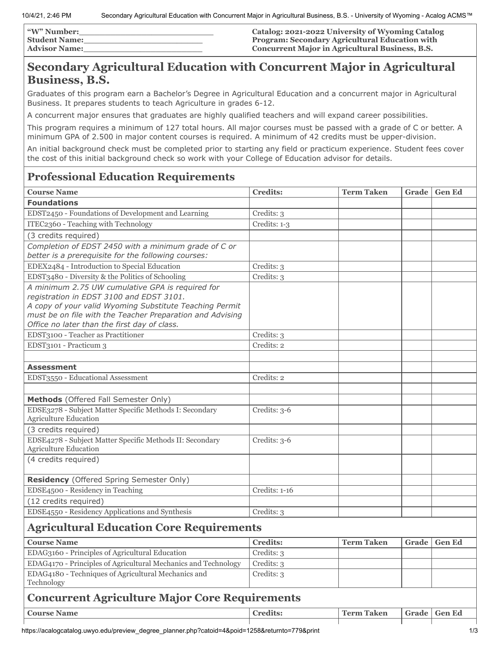| <b><i>W</i></b> " Number: | Catalog: 2021-2022 University of Wyoming Catalog      |
|---------------------------|-------------------------------------------------------|
| <b>Student Name:</b>      | <b>Program: Secondary Agricultural Education with</b> |
| <b>Advisor Name:</b>      | Concurrent Major in Agricultural Business, B.S.       |

## **Secondary Agricultural Education with Concurrent Major in Agricultural Business, B.S.**

Graduates of this program earn a Bachelor's Degree in Agricultural Education and a concurrent major in Agricultural Business. It prepares students to teach Agriculture in grades 6-12.

A concurrent major ensures that graduates are highly qualified teachers and will expand career possibilities.

This program requires a minimum of 127 total hours. All major courses must be passed with a grade of C or better. A minimum GPA of 2.500 in major content courses is required. A minimum of 42 credits must be upper-division.

An initial background check must be completed prior to starting any field or practicum experience. Student fees cover the cost of this initial background check so work with your College of Education advisor for details.

## **Professional Education Requirements**

| <b>Course Name</b>                                                                                                                                                                                                                                                   | <b>Credits:</b> | Term Taken        |       | Grade   Gen Ed |  |  |
|----------------------------------------------------------------------------------------------------------------------------------------------------------------------------------------------------------------------------------------------------------------------|-----------------|-------------------|-------|----------------|--|--|
| <b>Foundations</b>                                                                                                                                                                                                                                                   |                 |                   |       |                |  |  |
| EDST2450 - Foundations of Development and Learning                                                                                                                                                                                                                   | Credits: 3      |                   |       |                |  |  |
| ITEC2360 - Teaching with Technology                                                                                                                                                                                                                                  | Credits: 1-3    |                   |       |                |  |  |
| (3 credits required)                                                                                                                                                                                                                                                 |                 |                   |       |                |  |  |
| Completion of EDST 2450 with a minimum grade of C or<br>better is a prerequisite for the following courses:                                                                                                                                                          |                 |                   |       |                |  |  |
| EDEX2484 - Introduction to Special Education                                                                                                                                                                                                                         | Credits: 3      |                   |       |                |  |  |
| EDST3480 - Diversity & the Politics of Schooling                                                                                                                                                                                                                     | Credits: 3      |                   |       |                |  |  |
| A minimum 2.75 UW cumulative GPA is required for<br>registration in EDST 3100 and EDST 3101.<br>A copy of your valid Wyoming Substitute Teaching Permit<br>must be on file with the Teacher Preparation and Advising<br>Office no later than the first day of class. |                 |                   |       |                |  |  |
| EDST3100 - Teacher as Practitioner                                                                                                                                                                                                                                   | Credits: 3      |                   |       |                |  |  |
| EDST3101 - Practicum 3                                                                                                                                                                                                                                               | Credits: 2      |                   |       |                |  |  |
|                                                                                                                                                                                                                                                                      |                 |                   |       |                |  |  |
| <b>Assessment</b>                                                                                                                                                                                                                                                    |                 |                   |       |                |  |  |
| EDST3550 - Educational Assessment                                                                                                                                                                                                                                    | Credits: 2      |                   |       |                |  |  |
|                                                                                                                                                                                                                                                                      |                 |                   |       |                |  |  |
| Methods (Offered Fall Semester Only)                                                                                                                                                                                                                                 |                 |                   |       |                |  |  |
| EDSE3278 - Subject Matter Specific Methods I: Secondary<br><b>Agriculture Education</b>                                                                                                                                                                              | Credits: $3-6$  |                   |       |                |  |  |
| (3 credits required)                                                                                                                                                                                                                                                 |                 |                   |       |                |  |  |
| EDSE4278 - Subject Matter Specific Methods II: Secondary<br><b>Agriculture Education</b>                                                                                                                                                                             | Credits: $3-6$  |                   |       |                |  |  |
| (4 credits required)                                                                                                                                                                                                                                                 |                 |                   |       |                |  |  |
| Residency (Offered Spring Semester Only)                                                                                                                                                                                                                             |                 |                   |       |                |  |  |
| EDSE4500 - Residency in Teaching                                                                                                                                                                                                                                     | Credits: 1-16   |                   |       |                |  |  |
| (12 credits required)                                                                                                                                                                                                                                                |                 |                   |       |                |  |  |
| EDSE4550 - Residency Applications and Synthesis                                                                                                                                                                                                                      | Credits: 3      |                   |       |                |  |  |
| <b>Agricultural Education Core Requirements</b>                                                                                                                                                                                                                      |                 |                   |       |                |  |  |
| <b>Course Name</b>                                                                                                                                                                                                                                                   | <b>Credits:</b> | <b>Term Taken</b> | Grade | <b>Gen Ed</b>  |  |  |
| EDAG3160 - Principles of Agricultural Education                                                                                                                                                                                                                      | Credits: 3      |                   |       |                |  |  |
| EDAG4170 - Principles of Agricultural Mechanics and Technology                                                                                                                                                                                                       | Credits: 3      |                   |       |                |  |  |
| EDAG4180 - Techniques of Agricultural Mechanics and<br>Technology                                                                                                                                                                                                    | Credits: 3      |                   |       |                |  |  |
| <b>Concurrent Agriculture Major Core Requirements</b>                                                                                                                                                                                                                |                 |                   |       |                |  |  |
| <b>Course Name</b>                                                                                                                                                                                                                                                   | <b>Credits:</b> | <b>Term Taken</b> |       | Grade Gen Ed   |  |  |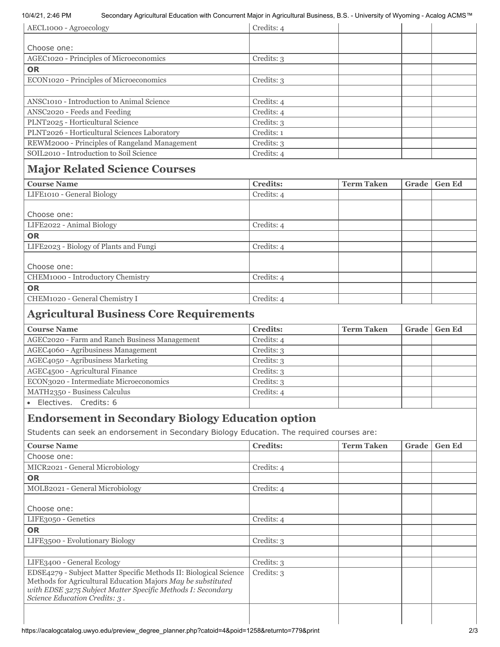#### 10/4/21, 2:46 PM Secondary Agricultural Education with Concurrent Major in Agricultural Business, B.S. - University of Wyoming - Acalog ACMS™

| AECL1000 - Agroecology                                | Credits: 4      |                   |       |               |  |
|-------------------------------------------------------|-----------------|-------------------|-------|---------------|--|
|                                                       |                 |                   |       |               |  |
| Choose one:                                           |                 |                   |       |               |  |
| AGEC1020 - Principles of Microeconomics               | Credits: 3      |                   |       |               |  |
| <b>OR</b>                                             |                 |                   |       |               |  |
| ECON1020 - Principles of Microeconomics               | Credits: 3      |                   |       |               |  |
|                                                       |                 |                   |       |               |  |
| ANSC <sub>1010</sub> - Introduction to Animal Science | Credits: 4      |                   |       |               |  |
| ANSC2020 - Feeds and Feeding                          | Credits: 4      |                   |       |               |  |
| PLNT2025 - Horticultural Science                      | Credits: 3      |                   |       |               |  |
| PLNT2026 - Horticultural Sciences Laboratory          | Credits: 1      |                   |       |               |  |
| REWM2000 - Principles of Rangeland Management         | Credits: 3      |                   |       |               |  |
| SOIL2010 - Introduction to Soil Science               | Credits: 4      |                   |       |               |  |
| <b>Major Related Science Courses</b>                  |                 |                   |       |               |  |
| <b>Course Name</b>                                    | <b>Credits:</b> | <b>Term Taken</b> | Grade | <b>Gen Ed</b> |  |
| LIFE1010 - General Biology                            | Credits: 4      |                   |       |               |  |
|                                                       |                 |                   |       |               |  |
| Choose one:                                           |                 |                   |       |               |  |
| LIFE2022 - Animal Biology                             | Credits: 4      |                   |       |               |  |
| $\sim$ $\sim$                                         |                 |                   |       |               |  |

| Creans: 4  |  |
|------------|--|
|            |  |
| Credits: 4 |  |
|            |  |
|            |  |
| Credits: 4 |  |
|            |  |
| Credits: 4 |  |
|            |  |

# **Agricultural Business Core Requirements**

| <b>Course Name</b>                            | <b>Credits:</b> | <b>Term Taken</b> | Grade | <b>Gen Ed</b> |
|-----------------------------------------------|-----------------|-------------------|-------|---------------|
| AGEC2020 - Farm and Ranch Business Management | Credits: 4      |                   |       |               |
| AGEC4060 - Agribusiness Management            | Credits: 3      |                   |       |               |
| AGEC4050 - Agribusiness Marketing             | Credits: 3      |                   |       |               |
| AGEC4500 - Agricultural Finance               | Credits: 3      |                   |       |               |
| ECON3020 - Intermediate Microeconomics        | Credits: 3      |                   |       |               |
| MATH2350 - Business Calculus                  | Credits: 4      |                   |       |               |
| Electives. Credits: 6                         |                 |                   |       |               |

### **Endorsement in Secondary Biology Education option**

Students can seek an endorsement in Secondary Biology Education. The required courses are:

| <b>Course Name</b>                                                                                                                                                                                                                | <b>Credits:</b> | <b>Term Taken</b> | Grade | <b>Gen Ed</b> |
|-----------------------------------------------------------------------------------------------------------------------------------------------------------------------------------------------------------------------------------|-----------------|-------------------|-------|---------------|
| Choose one:                                                                                                                                                                                                                       |                 |                   |       |               |
| MICR2021 - General Microbiology                                                                                                                                                                                                   | Credits: 4      |                   |       |               |
| <b>OR</b>                                                                                                                                                                                                                         |                 |                   |       |               |
| MOLB2021 - General Microbiology                                                                                                                                                                                                   | Credits: 4      |                   |       |               |
|                                                                                                                                                                                                                                   |                 |                   |       |               |
| Choose one:                                                                                                                                                                                                                       |                 |                   |       |               |
| LIFE3050 - Genetics                                                                                                                                                                                                               | Credits: 4      |                   |       |               |
| <b>OR</b>                                                                                                                                                                                                                         |                 |                   |       |               |
| LIFE3500 - Evolutionary Biology                                                                                                                                                                                                   | Credits: 3      |                   |       |               |
|                                                                                                                                                                                                                                   |                 |                   |       |               |
| LIFE3400 - General Ecology                                                                                                                                                                                                        | Credits: 3      |                   |       |               |
| EDSE4279 - Subject Matter Specific Methods II: Biological Science<br>Methods for Agricultural Education Majors May be substituted<br>with EDSE 3275 Subject Matter Specific Methods I: Secondary<br>Science Education Credits: 3. | Credits: 3      |                   |       |               |
|                                                                                                                                                                                                                                   |                 |                   |       |               |